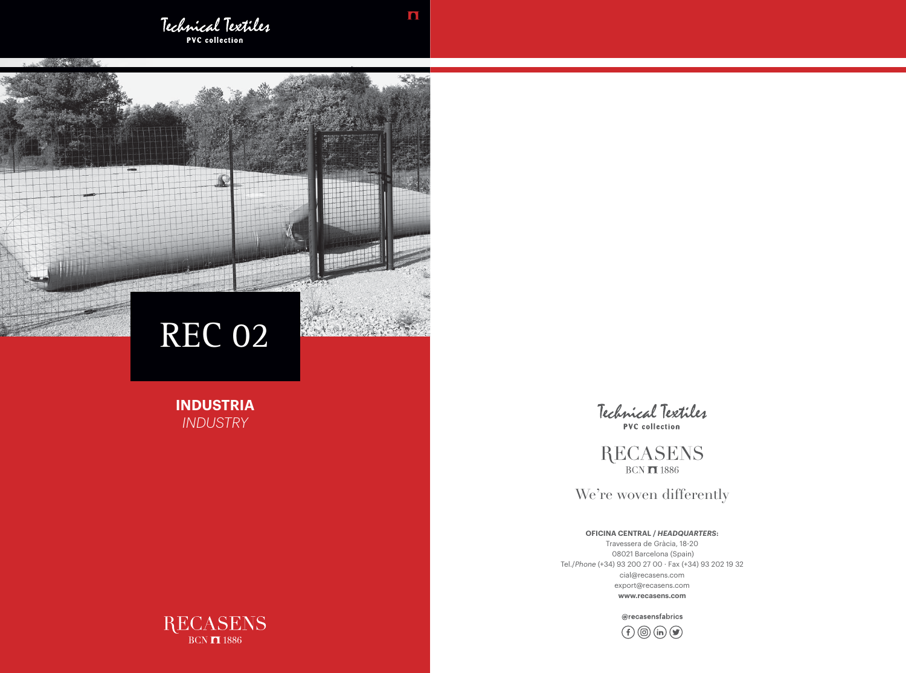Technical Textiles **PVC** collection

And the state of the state of

**INDUSTRIA** *INDUSTRY*



**RECASENS**  $BCN$   $\overline{1}$  1886

We're woven differently



## **OFICINA CENTRAL /** *HEADQUARTERS***:**

Travessera de Gràcia, 18-20 08021 Barcelona (Spain) Tel./*Phone* (+34) 93 200 27 00 · Fax (+34) 93 202 19 32 cial@recasens.com export@recasens.com **www.recasens.com**

@recasensfabrics





a bea